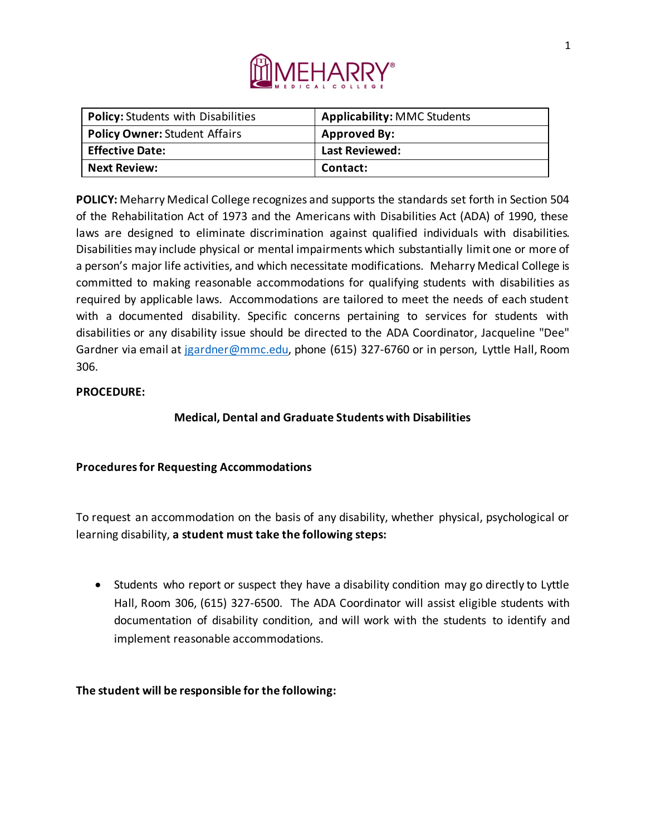

| <b>Policy: Students with Disabilities</b> | <b>Applicability: MMC Students</b> |
|-------------------------------------------|------------------------------------|
| <b>Policy Owner: Student Affairs</b>      | <b>Approved By:</b>                |
| <b>Effective Date:</b>                    | Last Reviewed:                     |
| <b>Next Review:</b>                       | Contact:                           |

**POLICY:** Meharry Medical College recognizes and supports the standards set forth in Section 504 of the Rehabilitation Act of 1973 and the Americans with Disabilities Act (ADA) of 1990, these laws are designed to eliminate discrimination against qualified individuals with disabilities. Disabilities may include physical or mental impairments which substantially limit one or more of a person's major life activities, and which necessitate modifications. Meharry Medical College is committed to making reasonable accommodations for qualifying students with disabilities as required by applicable laws. Accommodations are tailored to meet the needs of each student with a documented disability. Specific concerns pertaining to services for students with disabilities or any disability issue should be directed to the ADA Coordinator, Jacqueline "Dee" Gardner via email at jgardner@mmc.edu, phone (615) 327-6760 or in person, Lyttle Hall, Room 306.

## **PROCEDURE:**

## **Medical, Dental and Graduate Students with Disabilities**

## **Procedures for Requesting Accommodations**

To request an accommodation on the basis of any disability, whether physical, psychological or learning disability, **a student must take the following steps:**

• Students who report or suspect they have a disability condition may go directly to Lyttle Hall, Room 306, (615) 327-6500. The ADA Coordinator will assist eligible students with documentation of disability condition, and will work with the students to identify and implement reasonable accommodations.

**The student will be responsible for the following:**